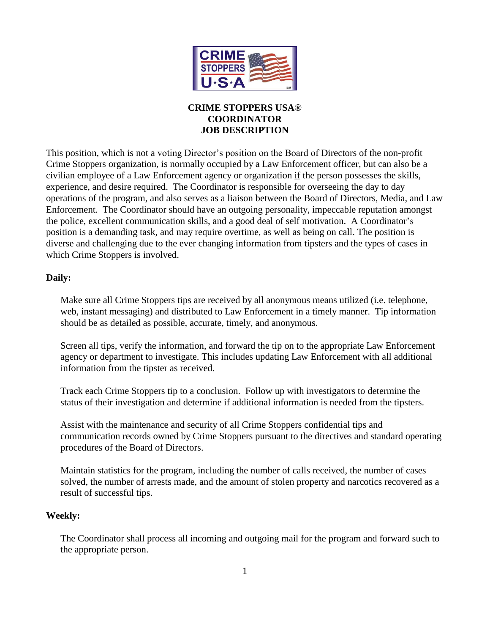

# **CRIME STOPPERS USA® COORDINATOR JOB DESCRIPTION**

This position, which is not a voting Director's position on the Board of Directors of the non-profit Crime Stoppers organization, is normally occupied by a Law Enforcement officer, but can also be a civilian employee of a Law Enforcement agency or organization if the person possesses the skills, experience, and desire required. The Coordinator is responsible for overseeing the day to day operations of the program, and also serves as a liaison between the Board of Directors, Media, and Law Enforcement. The Coordinator should have an outgoing personality, impeccable reputation amongst the police, excellent communication skills, and a good deal of self motivation. A Coordinator's position is a demanding task, and may require overtime, as well as being on call. The position is diverse and challenging due to the ever changing information from tipsters and the types of cases in which Crime Stoppers is involved.

### **Daily:**

Make sure all Crime Stoppers tips are received by all anonymous means utilized (i.e. telephone, web, instant messaging) and distributed to Law Enforcement in a timely manner. Tip information should be as detailed as possible, accurate, timely, and anonymous.

Screen all tips, verify the information, and forward the tip on to the appropriate Law Enforcement agency or department to investigate. This includes updating Law Enforcement with all additional information from the tipster as received.

Track each Crime Stoppers tip to a conclusion. Follow up with investigators to determine the status of their investigation and determine if additional information is needed from the tipsters.

Assist with the maintenance and security of all Crime Stoppers confidential tips and communication records owned by Crime Stoppers pursuant to the directives and standard operating procedures of the Board of Directors.

Maintain statistics for the program, including the number of calls received, the number of cases solved, the number of arrests made, and the amount of stolen property and narcotics recovered as a result of successful tips.

# **Weekly:**

The Coordinator shall process all incoming and outgoing mail for the program and forward such to the appropriate person.